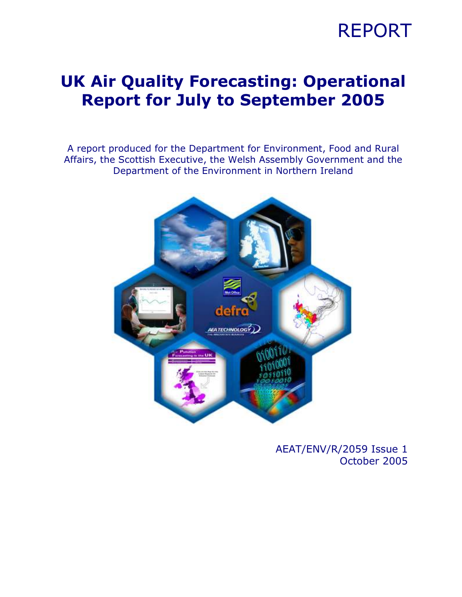

### UK Air Quality Forecasting: Operational Report for July to September 2005

A report produced for the Department for Environment, Food and Rural Affairs, the Scottish Executive, the Welsh Assembly Government and the Department of the Environment in Northern Ireland



AEAT/ENV/R/2059 Issue 1 October 2005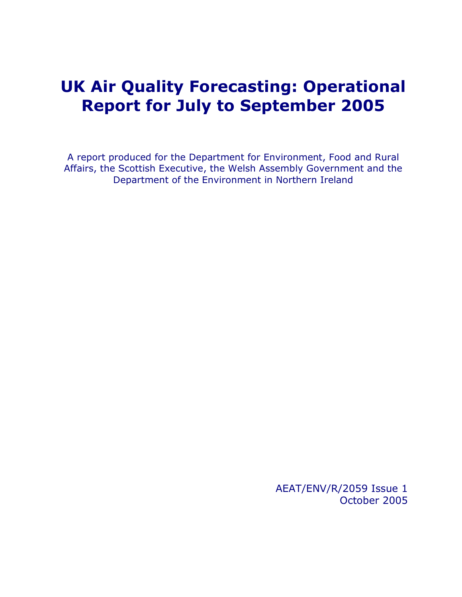### UK Air Quality Forecasting: Operational Report for July to September 2005

A report produced for the Department for Environment, Food and Rural Affairs, the Scottish Executive, the Welsh Assembly Government and the Department of the Environment in Northern Ireland

> AEAT/ENV/R/2059 Issue 1 October 2005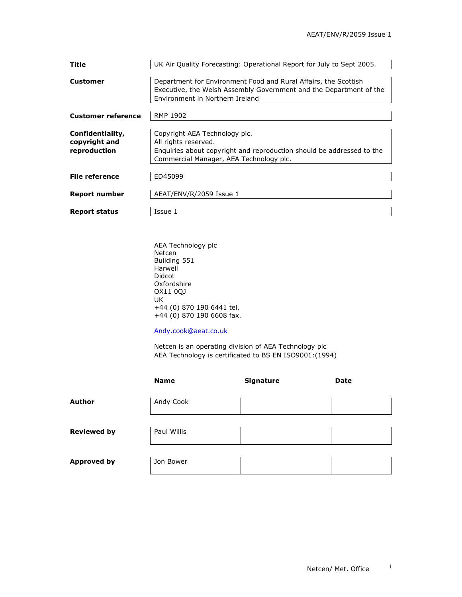| Title                                             | UK Air Quality Forecasting: Operational Report for July to Sept 2005.                                                                                                     |
|---------------------------------------------------|---------------------------------------------------------------------------------------------------------------------------------------------------------------------------|
| <b>Customer</b>                                   | Department for Environment Food and Rural Affairs, the Scottish<br>Executive, the Welsh Assembly Government and the Department of the<br>Environment in Northern Ireland  |
| <b>Customer reference</b>                         | <b>RMP 1902</b>                                                                                                                                                           |
| Confidentiality,<br>copyright and<br>reproduction | Copyright AEA Technology plc.<br>All rights reserved.<br>Enquiries about copyright and reproduction should be addressed to the<br>Commercial Manager, AEA Technology plc. |
| <b>File reference</b>                             | ED45099                                                                                                                                                                   |
| <b>Report number</b>                              | AEAT/ENV/R/2059 Issue 1                                                                                                                                                   |
| <b>Report status</b>                              | Issue 1                                                                                                                                                                   |

AEA Technology plc Netcen Building 551 Harwell Didcot Oxfordshire OX11 0QJ UK +44 (0) 870 190 6441 tel.  $+44(0)$  870 190 6608 fax.

#### Andy.cook@aeat.co.uk

 Netcen is an operating division of AEA Technology plc AEA Technology is certificated to BS EN ISO9001:(1994)

|                    | <b>Name</b> | Signature | <b>Date</b> |
|--------------------|-------------|-----------|-------------|
| <b>Author</b>      | Andy Cook   |           |             |
| <b>Reviewed by</b> | Paul Willis |           |             |
| <b>Approved by</b> | Jon Bower   |           |             |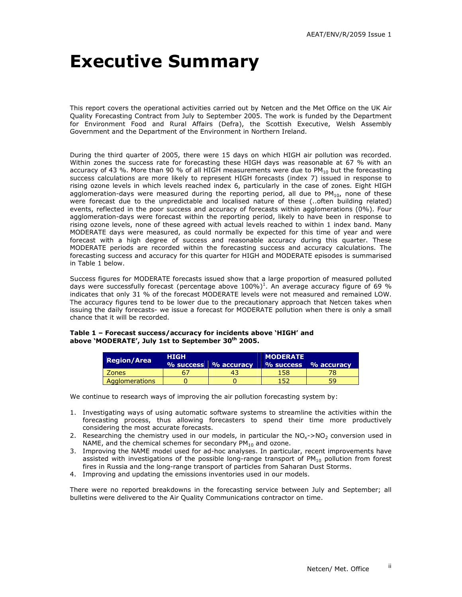### Executive Summary

This report covers the operational activities carried out by Netcen and the Met Office on the UK Air Quality Forecasting Contract from July to September 2005. The work is funded by the Department for Environment Food and Rural Affairs (Defra), the Scottish Executive, Welsh Assembly Government and the Department of the Environment in Northern Ireland.

During the third quarter of 2005, there were 15 days on which HIGH air pollution was recorded. Within zones the success rate for forecasting these HIGH days was reasonable at 67 % with an accuracy of 43 %. More than 90 % of all HIGH measurements were due to  $PM_{10}$  but the forecasting success calculations are more likely to represent HIGH forecasts (index 7) issued in response to rising ozone levels in which levels reached index 6, particularly in the case of zones. Eight HIGH agglomeration-days were measured during the reporting period, all due to  $PM_{10}$ , none of these were forecast due to the unpredictable and localised nature of these (..often building related) events, reflected in the poor success and accuracy of forecasts within agglomerations (0%). Four agglomeration-days were forecast within the reporting period, likely to have been in response to rising ozone levels, none of these agreed with actual levels reached to within 1 index band. Many MODERATE days were measured, as could normally be expected for this time of year and were forecast with a high degree of success and reasonable accuracy during this quarter. These MODERATE periods are recorded within the forecasting success and accuracy calculations. The forecasting success and accuracy for this quarter for HIGH and MODERATE episodes is summarised in Table 1 below.

Success figures for MODERATE forecasts issued show that a large proportion of measured polluted days were successfully forecast (percentage above  $100\%)^1$ . An average accuracy figure of 69 % indicates that only 31 % of the forecast MODERATE levels were not measured and remained LOW. The accuracy figures tend to be lower due to the precautionary approach that Netcen takes when issuing the daily forecasts- we issue a forecast for MODERATE pollution when there is only a small chance that it will be recorded.

#### Table 1 – Forecast success/accuracy for incidents above 'HIGH' and above 'MODERATE', July 1st to September 30<sup>th</sup> 2005.

|                    | <b>HIGH</b> |                      | <b>MODERATE</b> |                      |  |  |  |
|--------------------|-------------|----------------------|-----------------|----------------------|--|--|--|
| <b>Region/Area</b> |             | % success % accuracy |                 | % success % accuracy |  |  |  |
| <b>Zones</b>       |             | 43                   | 158             |                      |  |  |  |
| Agglomerations     |             |                      | 152             | 59                   |  |  |  |

We continue to research ways of improving the air pollution forecasting system by:

- 1. Investigating ways of using automatic software systems to streamline the activities within the forecasting process, thus allowing forecasters to spend their time more productively considering the most accurate forecasts.
- 2. Researching the chemistry used in our models, in particular the  $NO<sub>x</sub>$ ->NO<sub>2</sub> conversion used in NAME, and the chemical schemes for secondary  $PM_{10}$  and ozone.
- 3. Improving the NAME model used for ad-hoc analyses. In particular, recent improvements have assisted with investigations of the possible long-range transport of  $PM_{10}$  pollution from forest fires in Russia and the long-range transport of particles from Saharan Dust Storms.
- 4. Improving and updating the emissions inventories used in our models.

There were no reported breakdowns in the forecasting service between July and September; all bulletins were delivered to the Air Quality Communications contractor on time.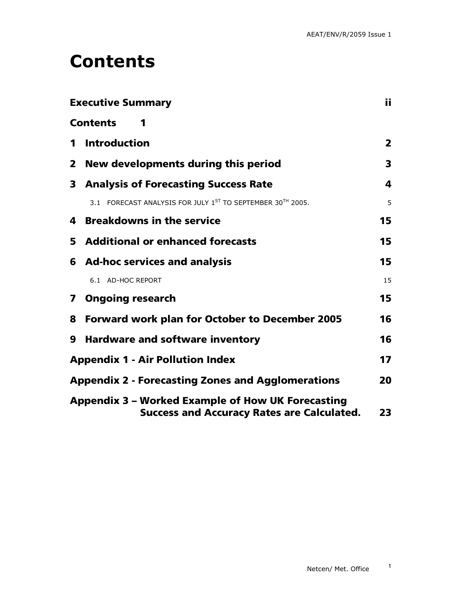## **Contents**

|              | <b>Executive Summary</b>                                                                                      | ii.            |
|--------------|---------------------------------------------------------------------------------------------------------------|----------------|
|              | <b>Contents</b><br>1                                                                                          |                |
| 1            | <b>Introduction</b>                                                                                           | $\overline{2}$ |
| $\mathbf{2}$ | New developments during this period                                                                           | 3              |
| 3            | <b>Analysis of Forecasting Success Rate</b>                                                                   | 4              |
|              | 3.1 FORECAST ANALYSIS FOR JULY 1ST TO SEPTEMBER 30TH 2005.                                                    | 5              |
| 4            | <b>Breakdowns in the service</b>                                                                              | 15             |
| 5.           | <b>Additional or enhanced forecasts</b>                                                                       | 15             |
| 6            | <b>Ad-hoc services and analysis</b>                                                                           | 15             |
|              | 6.1 AD-HOC REPORT                                                                                             | 15             |
| 7            | <b>Ongoing research</b>                                                                                       | 15             |
| 8            | <b>Forward work plan for October to December 2005</b>                                                         | 16             |
| 9            | <b>Hardware and software inventory</b>                                                                        | 16             |
|              | <b>Appendix 1 - Air Pollution Index</b>                                                                       | 17             |
|              | <b>Appendix 2 - Forecasting Zones and Agglomerations</b>                                                      | 20             |
|              | <b>Appendix 3 - Worked Example of How UK Forecasting</b><br><b>Success and Accuracy Rates are Calculated.</b> | 23             |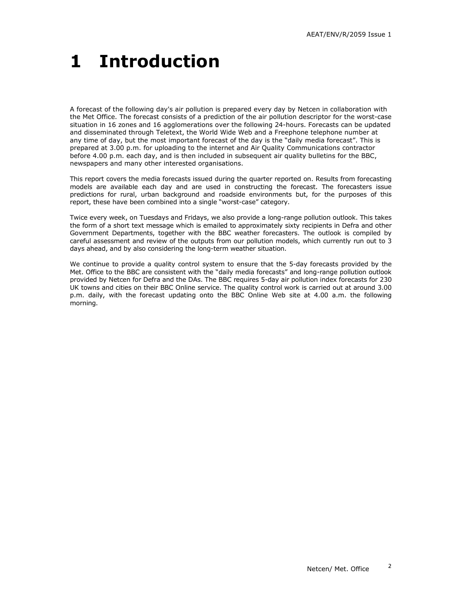# 1 Introduction

A forecast of the following day's air pollution is prepared every day by Netcen in collaboration with the Met Office. The forecast consists of a prediction of the air pollution descriptor for the worst-case situation in 16 zones and 16 agglomerations over the following 24-hours. Forecasts can be updated and disseminated through Teletext, the World Wide Web and a Freephone telephone number at any time of day, but the most important forecast of the day is the "daily media forecast". This is prepared at 3.00 p.m. for uploading to the internet and Air Quality Communications contractor before 4.00 p.m. each day, and is then included in subsequent air quality bulletins for the BBC, newspapers and many other interested organisations.

This report covers the media forecasts issued during the quarter reported on. Results from forecasting models are available each day and are used in constructing the forecast. The forecasters issue predictions for rural, urban background and roadside environments but, for the purposes of this report, these have been combined into a single "worst-case" category.

Twice every week, on Tuesdays and Fridays, we also provide a long-range pollution outlook. This takes the form of a short text message which is emailed to approximately sixty recipients in Defra and other Government Departments, together with the BBC weather forecasters. The outlook is compiled by careful assessment and review of the outputs from our pollution models, which currently run out to 3 days ahead, and by also considering the long-term weather situation.

We continue to provide a quality control system to ensure that the 5-day forecasts provided by the Met. Office to the BBC are consistent with the "daily media forecasts" and long-range pollution outlook provided by Netcen for Defra and the DAs. The BBC requires 5-day air pollution index forecasts for 230 UK towns and cities on their BBC Online service. The quality control work is carried out at around 3.00 p.m. daily, with the forecast updating onto the BBC Online Web site at 4.00 a.m. the following morning.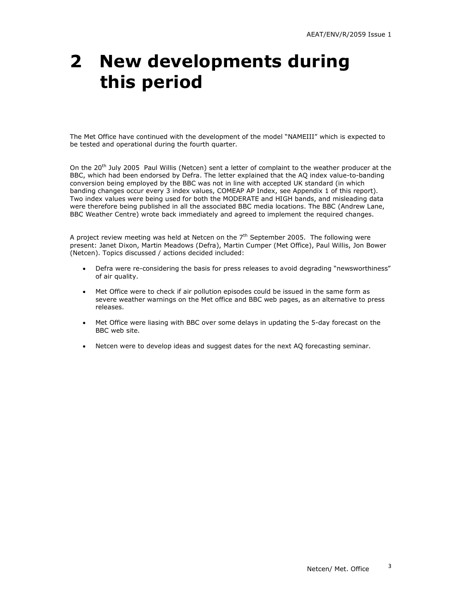# 2 New developments during this period

The Met Office have continued with the development of the model "NAMEIII" which is expected to be tested and operational during the fourth quarter.

On the 20<sup>th</sup> July 2005 Paul Willis (Netcen) sent a letter of complaint to the weather producer at the BBC, which had been endorsed by Defra. The letter explained that the AQ index value-to-banding conversion being employed by the BBC was not in line with accepted UK standard (in which banding changes occur every 3 index values, COMEAP AP Index, see Appendix 1 of this report). Two index values were being used for both the MODERATE and HIGH bands, and misleading data were therefore being published in all the associated BBC media locations. The BBC (Andrew Lane, BBC Weather Centre) wrote back immediately and agreed to implement the required changes.

A project review meeting was held at Netcen on the 7<sup>th</sup> September 2005. The following were present: Janet Dixon, Martin Meadows (Defra), Martin Cumper (Met Office), Paul Willis, Jon Bower (Netcen). Topics discussed / actions decided included:

- Defra were re-considering the basis for press releases to avoid degrading "newsworthiness" of air quality.
- Met Office were to check if air pollution episodes could be issued in the same form as severe weather warnings on the Met office and BBC web pages, as an alternative to press releases.
- Met Office were liasing with BBC over some delays in updating the 5-day forecast on the BBC web site.
- Netcen were to develop ideas and suggest dates for the next AQ forecasting seminar.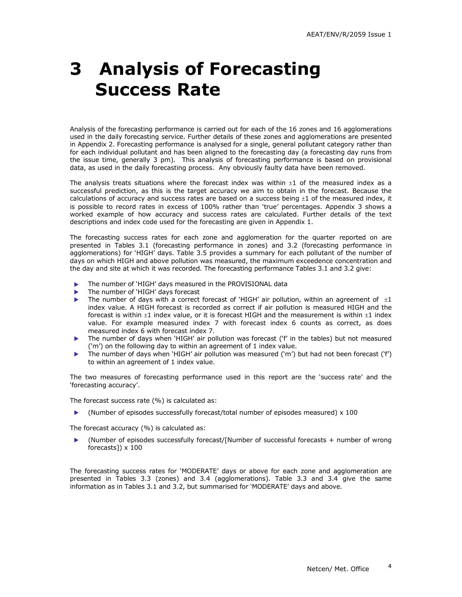## 3 Analysis of Forecasting Success Rate

Analysis of the forecasting performance is carried out for each of the 16 zones and 16 agglomerations used in the daily forecasting service. Further details of these zones and agglomerations are presented in Appendix 2. Forecasting performance is analysed for a single, general pollutant category rather than for each individual pollutant and has been aligned to the forecasting day (a forecasting day runs from the issue time, generally 3 pm). This analysis of forecasting performance is based on provisional data, as used in the daily forecasting process. Any obviously faulty data have been removed.

The analysis treats situations where the forecast index was within  $\pm 1$  of the measured index as a successful prediction, as this is the target accuracy we aim to obtain in the forecast. Because the calculations of accuracy and success rates are based on a success being  $\pm 1$  of the measured index, it is possible to record rates in excess of 100% rather than 'true' percentages. Appendix 3 shows a worked example of how accuracy and success rates are calculated. Further details of the text descriptions and index code used for the forecasting are given in Appendix 1.

The forecasting success rates for each zone and agglomeration for the quarter reported on are presented in Tables 3.1 (forecasting performance in zones) and 3.2 (forecasting performance in agglomerations) for 'HIGH' days. Table 3.5 provides a summary for each pollutant of the number of days on which HIGH and above pollution was measured, the maximum exceedence concentration and the day and site at which it was recorded. The forecasting performance Tables 3.1 and 3.2 give:

- The number of 'HIGH' days measured in the PROVISIONAL data
- The number of 'HIGH' days forecast
- The number of days with a correct forecast of 'HIGH' air pollution, within an agreement of  $\pm 1$ index value. A HIGH forecast is recorded as correct if air pollution is measured HIGH and the forecast is within  $\pm 1$  index value, or it is forecast HIGH and the measurement is within  $\pm 1$  index value. For example measured index 7 with forecast index 6 counts as correct, as does measured index 6 with forecast index 7.
- The number of days when 'HIGH' air pollution was forecast ('f' in the tables) but not measured ('m') on the following day to within an agreement of 1 index value.
- The number of days when 'HIGH' air pollution was measured ('m') but had not been forecast ('f') to within an agreement of 1 index value.

The two measures of forecasting performance used in this report are the 'success rate' and the 'forecasting accuracy'.

The forecast success rate (%) is calculated as:

 $\blacktriangleright$  (Number of episodes successfully forecast/total number of episodes measured)  $\times$  100

The forecast accuracy (%) is calculated as:

 (Number of episodes successfully forecast/[Number of successful forecasts + number of wrong forecasts]) x 100

The forecasting success rates for 'MODERATE' days or above for each zone and agglomeration are presented in Tables 3.3 (zones) and 3.4 (agglomerations). Table 3.3 and 3.4 give the same information as in Tables 3.1 and 3.2, but summarised for 'MODERATE' days and above.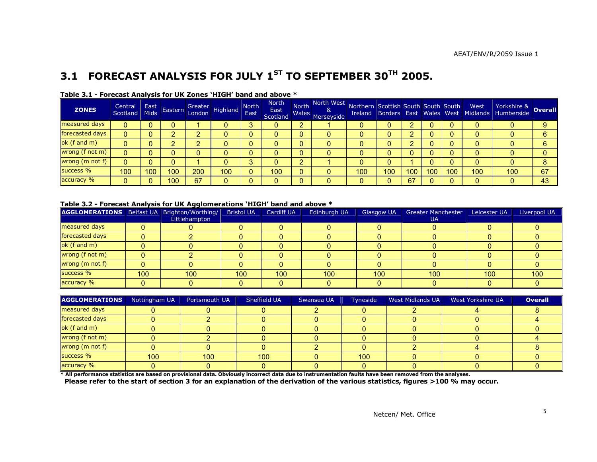### 3.1 FORECAST ANALYSIS FOR JULY  $1^{ST}$  TO SEPTEMBER 30<sup>TH</sup> 2005.

| <b>ZONES</b>    | Central<br>Scotland | Mids | <b>Fast Eastern Designal</b> |     | Greater<br>London Highland | <b>North</b><br>East | <b>North</b><br>East<br>Scotland | <b>North</b>   | North West Northern Scottish South South South<br>8 <sub>k</sub><br>ad Wales Merseyside |     |     |     |     |     | West | <b>The Yorkshire &amp; Overall</b><br>Ireland Borders East Wales West Midlands Humberside |    |
|-----------------|---------------------|------|------------------------------|-----|----------------------------|----------------------|----------------------------------|----------------|-----------------------------------------------------------------------------------------|-----|-----|-----|-----|-----|------|-------------------------------------------------------------------------------------------|----|
| measured days   |                     |      |                              |     |                            | 3                    | U                                | $\bullet$<br>← |                                                                                         |     |     |     |     |     |      |                                                                                           | 9  |
| forecasted days |                     |      |                              |     |                            |                      |                                  | 0              |                                                                                         |     |     |     |     |     |      |                                                                                           | 6  |
| ok (f and m)    |                     |      |                              |     |                            |                      |                                  | 0              |                                                                                         |     |     |     |     |     |      |                                                                                           | 6  |
| wrong (f not m) |                     |      |                              |     |                            |                      |                                  | 0              |                                                                                         |     |     |     |     |     |      |                                                                                           |    |
| wrong (m not f) |                     |      |                              |     |                            | 2                    |                                  | o              |                                                                                         |     |     |     |     |     |      |                                                                                           | 8  |
| success %       | 100                 | 100  | 100                          | 200 | 100                        | $\mathbf{0}$         | 100                              | 0              |                                                                                         | 100 | 100 | 100 | 100 | 100 | 100  | 100                                                                                       | 67 |
| accuracy %      |                     |      | 100                          | 67  |                            |                      |                                  | 0              |                                                                                         |     |     | 67  |     |     |      |                                                                                           | 43 |

#### Table 3.1 - Forecast Analysis for UK Zones 'HIGH' band and above \*

#### Table 3.2 - Forecast Analysis for UK Agglomerations 'HIGH' band and above \*

| AGGLOMERATIONS   Belfast UA   Brighton/Worthing/ |     | Littlehampton    | <b>Bristol UA</b> | Cardiff UA | Edinburgh UA | <b>Glasgow UA</b> | Greater Manchester<br>UA | Leicester UA | Liverpool UA |
|--------------------------------------------------|-----|------------------|-------------------|------------|--------------|-------------------|--------------------------|--------------|--------------|
| measured days                                    |     |                  |                   |            |              |                   |                          |              |              |
| forecasted days                                  |     |                  |                   |            |              |                   |                          |              |              |
| ok (f and m)                                     |     |                  |                   |            |              |                   |                          |              |              |
| wrong (f not m)                                  |     |                  |                   |            |              |                   |                          |              |              |
| wrong (m not f)                                  |     |                  |                   |            |              |                   |                          |              |              |
| success %                                        | 100 | 100 <sub>1</sub> | 100               | 100        | 100          | 100               | 100                      | 100          | 100          |
| accuracy %                                       |     |                  |                   |            |              |                   |                          |              |              |

| <b>AGGLOMERATIONS</b>                                                                                                                                   | Nottingham UA | Portsmouth UA | Sheffield UA | Swansea UA | Tyneside | <b>West Midlands UA</b> | West Yorkshire UA | <b>Overall</b> |
|---------------------------------------------------------------------------------------------------------------------------------------------------------|---------------|---------------|--------------|------------|----------|-------------------------|-------------------|----------------|
| measured days                                                                                                                                           |               |               |              |            |          |                         |                   |                |
| forecasted days                                                                                                                                         |               |               |              |            |          |                         |                   |                |
| ok(f and m)                                                                                                                                             |               |               |              |            |          |                         |                   |                |
| wrong (f not m)                                                                                                                                         |               |               |              |            |          |                         |                   |                |
| wrong (m not f)                                                                                                                                         |               |               |              |            |          |                         |                   |                |
| success %                                                                                                                                               | 100           | 100           | 100          |            | 100      |                         |                   |                |
| accuracy %                                                                                                                                              |               |               |              |            |          |                         |                   |                |
| * All performance statistics are based on provisional data. Obviously incorrect data due to instrumentation faults have been removed from the analyses. |               |               |              |            |          |                         |                   |                |

Please refer to the start of section 3 for an explanation of the derivation of the various statistics, figures >100 % may occur.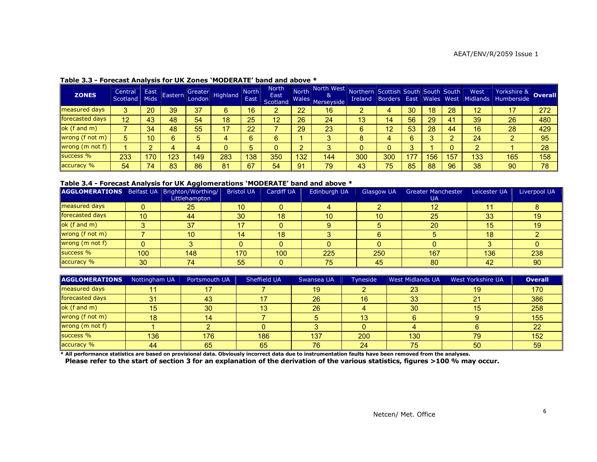| <b>ZONES</b>    | Central<br>Scotland | East<br><b>Mids</b> | Eastern | Greater<br>London | Highland | <b>North</b><br>East | <b>North</b><br>East<br>Scotland | <b>North</b><br>Wales | North West<br>&<br>Merseyside | Northern Scottish South South South<br>Ireland | Borders East |    | Wales West |     | West<br><b>Midlands</b> | Yorkshire &<br>Humberside | <b>Overall</b> |
|-----------------|---------------------|---------------------|---------|-------------------|----------|----------------------|----------------------------------|-----------------------|-------------------------------|------------------------------------------------|--------------|----|------------|-----|-------------------------|---------------------------|----------------|
| measured days   | ົ                   | 20                  | 39      | 37                |          | 16                   | ∼                                | 22                    | 16                            |                                                |              | 30 | 18         | 28  | 12 <sup>°</sup>         | 17                        | 272            |
| forecasted days | 12                  | 43                  | 48      | 54                | 18       | 25                   | 12                               | 26                    | 24                            | 13                                             | 14           | 56 | 29         | 41  | 39                      | 26                        | 480            |
| ok (f and m)    |                     | 34                  | 48      | 55                |          | 22                   |                                  | 29                    | 23                            |                                                | 12           | 53 | 28         | 44  | 16                      | 28                        | 429            |
| wrong (f not m) | 5                   | 10 <sup>1</sup>     |         |                   |          | 6                    | 6                                |                       |                               |                                                |              |    |            |     | 24                      |                           | 95             |
| wrong (m not f) |                     |                     |         |                   |          | 5                    | Ü                                | ົ                     |                               |                                                |              |    |            |     |                         |                           | 28             |
| success %       | 233                 | 170                 | 123     | 149               | 283      | 138                  | 350                              | 132                   | 144                           | 300                                            | 300          |    | 56         | 157 | 133                     | 165                       | 158            |
| accuracy %      | 54                  | 74                  | 83      | 86                | 81       | 67                   | 54                               | 91                    | 79                            | 43                                             | 75           | 85 | 88         | 96  | 38                      | 90                        | 78             |

#### Table 3.3 - Forecast Analysis for UK Zones 'MODERATE' band and above \*

#### Table 3.4 - Forecast Analysis for UK Agglomerations 'MODERATE' band and above \*

| AGGLOMERATIONS   Belfast UA   Brighton/Worthing/ |     | Littlehampton | <b>Bristol UA</b> | Cardiff UA       | Edinburgh UA | <b>Glasgow UA</b> | <b>Greater Manchester</b><br>UA. | Leicester UA | Liverpool UA |
|--------------------------------------------------|-----|---------------|-------------------|------------------|--------------|-------------------|----------------------------------|--------------|--------------|
| measured days                                    |     | 25            | 10 <sup>°</sup>   |                  |              |                   |                                  |              |              |
| forecasted days                                  | 10  | 44            | 30                | 18 <sup>1</sup>  | 10           | 10                | 25                               | 33           |              |
| ok (f and m)                                     |     | 37            |                   |                  |              |                   | 20                               | 15           |              |
| wrong (f not m)                                  |     | 10            | 14                | 18               |              |                   |                                  | 18           |              |
| wrong (m not f)                                  |     |               |                   |                  |              |                   |                                  |              |              |
| success %                                        | 100 | 148           | 170               | 100 <sup>1</sup> | 225          | 250               | 167                              | 136          | 238          |
| accuracy %                                       | 30  |               | 55                |                  | 75           | 45                | 80                               | 42           | 90           |

| <b>AGGLOMERATIONS</b>                                                                                                                                   | Nottingham UA | Portsmouth UA | Sheffield UA | Swansea UA | Tyneside | <b>West Midlands UA</b> | West Yorkshire UA | <b>Overall</b> |
|---------------------------------------------------------------------------------------------------------------------------------------------------------|---------------|---------------|--------------|------------|----------|-------------------------|-------------------|----------------|
| measured days                                                                                                                                           |               |               |              | 19         |          | 23                      | 19                | 170            |
| forecasted days                                                                                                                                         |               | 43            |              | 26         | 16       | 33                      |                   | 386            |
| ok (f and m)                                                                                                                                            |               | 30            |              | 26         |          | 30                      |                   | 258            |
| wrong (f not m)                                                                                                                                         | 18            | 14            |              |            |          |                         |                   | 155            |
| wrong (m not f)                                                                                                                                         |               |               |              |            |          |                         |                   | 22             |
| success %                                                                                                                                               | 136           | 176           | 186          | 137        | 200      | 130                     | 79                | 152            |
| accuracy %                                                                                                                                              | 44            | 65            | 65           | 76         | 24       |                         | 50                | 59             |
| * All performance statistics are based on provisional data. Obviously incorrect data due to instrumentation faults have been removed from the analyses. |               |               |              |            |          |                         |                   |                |

Please refer to the start of section 3 for an explanation of the derivation of the various statistics, figures >100 % may occur.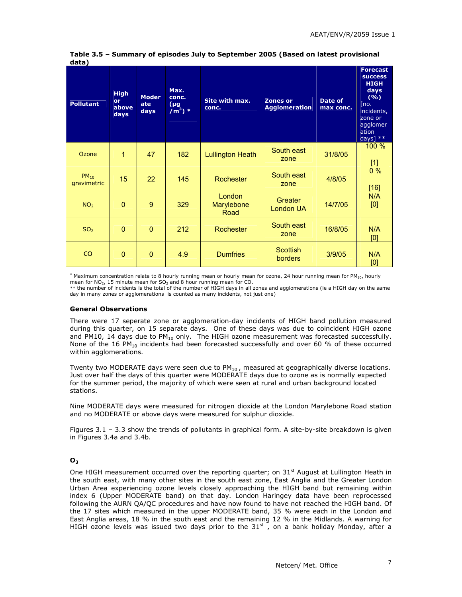| <b>Pollutant</b>         | <b>High</b><br>or<br>above<br>days | <b>Moder</b><br>ate<br>days | Max.<br>conc.<br>$(\mu g$<br>/m <sup>3</sup> ) * | Site with max.<br>conc.      | <b>Zones or</b><br><b>Agglomeration</b> | Date of<br>max conc. | <b>Forecast</b><br><b>SUCCESS</b><br><b>HIGH</b><br>days<br>(9/6)<br>[no.]<br>incidents,<br>zone or<br>agglomer<br>ation<br>$days]$ ** |
|--------------------------|------------------------------------|-----------------------------|--------------------------------------------------|------------------------------|-----------------------------------------|----------------------|----------------------------------------------------------------------------------------------------------------------------------------|
| Ozone                    | 1                                  | 47                          | 182                                              | <b>Lullington Heath</b>      | South east<br>zone                      | 31/8/05              | 100 %<br>[1]                                                                                                                           |
| $PM_{10}$<br>gravimetric | 15                                 | 22                          | 145                                              | <b>Rochester</b>             | South east<br>zone                      | 4/8/05               | $0\%$<br>$[16]$                                                                                                                        |
| NO <sub>2</sub>          | $\mathbf{0}$                       | 9                           | 329                                              | London<br>Marylebone<br>Road | <b>Greater</b><br><b>London UA</b>      | 14/7/05              | N/A<br>[0]                                                                                                                             |
| SO <sub>2</sub>          | $\overline{0}$                     | $\overline{0}$              | 212                                              | Rochester                    | South east<br>zone                      | 16/8/05              | N/A<br>[0]                                                                                                                             |
| $\overline{c}$           | $\mathbf{0}$                       | $\overline{0}$              | 4.9                                              | <b>Dumfries</b>              | <b>Scottish</b><br><b>borders</b>       | 3/9/05               | N/A<br>[0]                                                                                                                             |

#### Table 3.5 – Summary of episodes July to September 2005 (Based on latest provisional data)

\* Maximum concentration relate to 8 hourly running mean or hourly mean for ozone, 24 hour running mean for PM<sub>10</sub>, hourly mean for  $NO<sub>2</sub>$ , 15 minute mean for  $SO<sub>2</sub>$  and 8 hour running mean for CO.

\*\* the number of incidents is the total of the number of HIGH days in all zones and agglomerations (ie a HIGH day on the same day in many zones or agglomerations is counted as many incidents, not just one)

#### General Observations

There were 17 seperate zone or agglomeration-day incidents of HIGH band pollution measured during this quarter, on 15 separate days. One of these days was due to coincident HIGH ozone and PM10, 14 days due to  $PM_{10}$  only. The HIGH ozone measurement was forecasted successfully. None of the 16 PM<sub>10</sub> incidents had been forecasted successfully and over 60 % of these occurred within agglomerations.

Twenty two MODERATE days were seen due to  $PM_{10}$ , measured at geographically diverse locations. Just over half the days of this quarter were MODERATE days due to ozone as is normally expected for the summer period, the majority of which were seen at rural and urban background located stations.

Nine MODERATE days were measured for nitrogen dioxide at the London Marylebone Road station and no MODERATE or above days were measured for sulphur dioxide.

Figures 3.1 – 3.3 show the trends of pollutants in graphical form. A site-by-site breakdown is given in Figures 3.4a and 3.4b.

#### $O<sub>3</sub>$

One HIGH measurement occurred over the reporting quarter; on  $31<sup>st</sup>$  August at Lullington Heath in the south east, with many other sites in the south east zone, East Anglia and the Greater London Urban Area experiencing ozone levels closely approaching the HIGH band but remaining within index 6 (Upper MODERATE band) on that day. London Haringey data have been reprocessed following the AURN QA/QC procedures and have now found to have not reached the HIGH band. Of the 17 sites which measured in the upper MODERATE band, 35 % were each in the London and East Anglia areas, 18 % in the south east and the remaining 12 % in the Midlands. A warning for HIGH ozone levels was issued two days prior to the  $31^{st}$ , on a bank holiday Monday, after a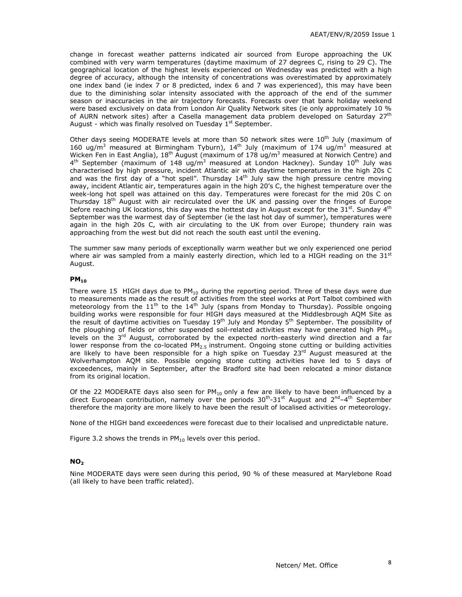change in forecast weather patterns indicated air sourced from Europe approaching the UK combined with very warm temperatures (daytime maximum of 27 degrees C, rising to 29 C). The geographical location of the highest levels experienced on Wednesday was predicted with a high degree of accuracy, although the intensity of concentrations was overestimated by approximately one index band (ie index 7 or 8 predicted, index 6 and 7 was experienced), this may have been due to the diminishing solar intensity associated with the approach of the end of the summer season or inaccuracies in the air trajectory forecasts. Forecasts over that bank holiday weekend were based exclusively on data from London Air Quality Network sites (ie only approximately 10 % of AURN network sites) after a Casella management data problem developed on Saturday 27<sup>th</sup> August - which was finally resolved on Tuesday 1st September.

Other days seeing MODERATE levels at more than 50 network sites were 10<sup>th</sup> July (maximum of 160 ug/m<sup>3</sup> measured at Birmingham Tyburn), 14<sup>th</sup> July (maximum of 174 ug/m<sup>3</sup> measured at Wicken Fen in East Anglia), 18<sup>th</sup> August (maximum of 178 ug/m<sup>3</sup> measured at Norwich Centre) and  $4^{\text{th}}$  September (maximum of 148 ug/m<sup>3</sup> measured at London Hackney). Sunday 10<sup>th</sup> July was characterised by high pressure, incident Atlantic air with daytime temperatures in the high 20s C and was the first day of a "hot spell". Thursday  $14<sup>th</sup>$  July saw the high pressure centre moving away, incident Atlantic air, temperatures again in the high 20's C, the highest temperature over the week-long hot spell was attained on this day. Temperatures were forecast for the mid 20s C on Thursday  $18<sup>th</sup>$  August with air recirculated over the UK and passing over the fringes of Europe before reaching UK locations, this day was the hottest day in August except for the 31<sup>st</sup>. Sunday 4<sup>th</sup> September was the warmest day of September (ie the last hot day of summer), temperatures were again in the high 20s C, with air circulating to the UK from over Europe; thundery rain was approaching from the west but did not reach the south east until the evening.

The summer saw many periods of exceptionally warm weather but we only experienced one period where air was sampled from a mainly easterly direction, which led to a HIGH reading on the  $31<sup>st</sup>$ August.

#### $PM<sub>10</sub>$

There were 15 HIGH days due to  $PM_{10}$  during the reporting period. Three of these days were due to measurements made as the result of activities from the steel works at Port Talbot combined with meteorology from the 11<sup>th</sup> to the 14<sup>th</sup> July (spans from Monday to Thursday). Possible ongoing building works were responsible for four HIGH days measured at the Middlesbrough AQM Site as the result of daytime activities on Tuesday 19<sup>th</sup> July and Monday 5<sup>th</sup> September. The possibility of the ploughing of fields or other suspended soil-related activities may have generated high  $PM_{10}$ levels on the 3<sup>rd</sup> August, corroborated by the expected north-easterly wind direction and a far lower response from the co-located PM<sub>2.5</sub> instrument. Ongoing stone cutting or building activities are likely to have been responsible for a high spike on Tuesday 23<sup>rd</sup> August measured at the Wolverhampton AQM site. Possible ongoing stone cutting activities have led to 5 days of exceedences, mainly in September, after the Bradford site had been relocated a minor distance from its original location.

Of the 22 MODERATE days also seen for PM<sub>10</sub> only a few are likely to have been influenced by a direct European contribution, namely over the periods  $30^{\text{th}}-31^{\text{st}}$  August and  $2^{\text{nd}}-4^{\text{th}}$  September therefore the majority are more likely to have been the result of localised activities or meteorology.

None of the HIGH band exceedences were forecast due to their localised and unpredictable nature.

Figure 3.2 shows the trends in  $PM_{10}$  levels over this period.

#### $NO<sub>2</sub>$

Nine MODERATE days were seen during this period, 90 % of these measured at Marylebone Road (all likely to have been traffic related).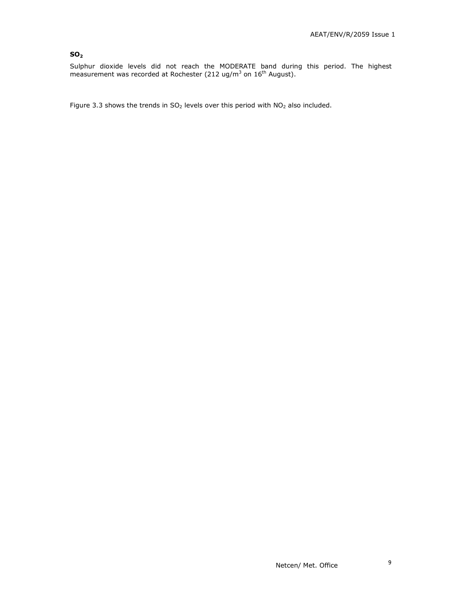### $SO<sub>2</sub>$

Sulphur dioxide levels did not reach the MODERATE band during this period. The highest measurement was recorded at Rochester (212 ug/m<sup>3</sup> on 16<sup>th</sup> August).

Figure 3.3 shows the trends in  $SO_2$  levels over this period with  $NO_2$  also included.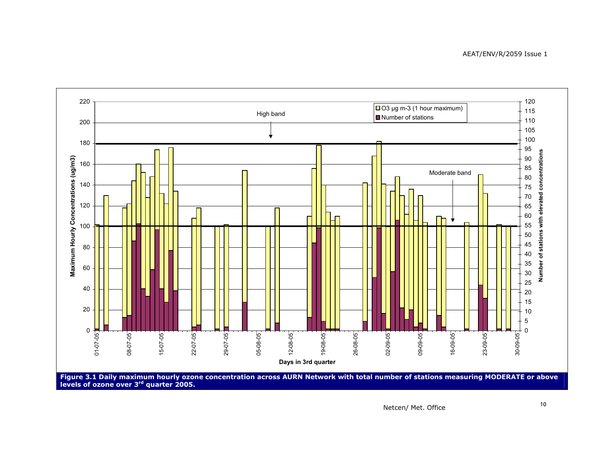AEAT/ENV/R/2059 Issue 1



Netcen/ Met. Officee and the set of the set of the set of the set of the set of the set of the set of the set of the set of the s<br>All the set of the set of the set of the set of the set of the set of the set of the set of the set of the set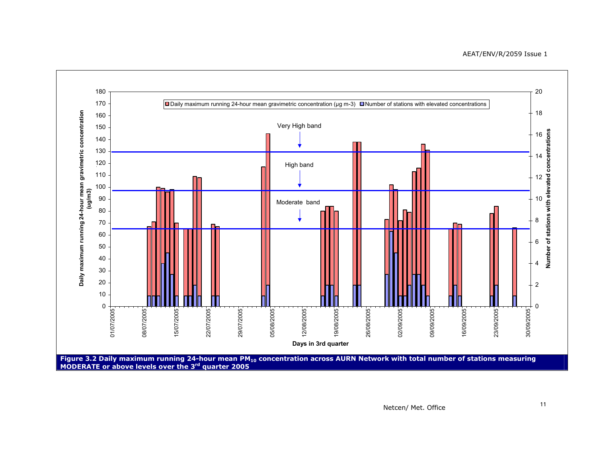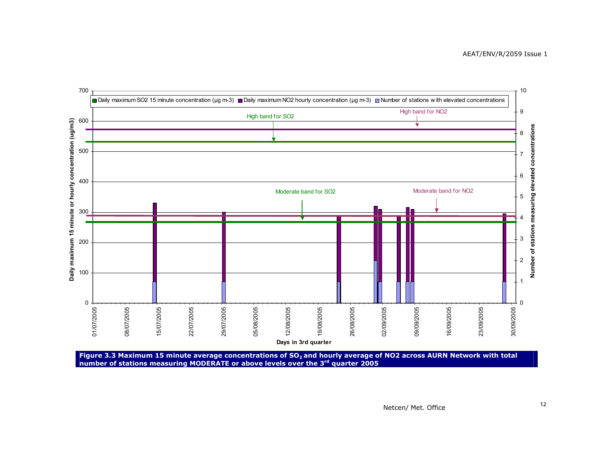

Figure 3.3 Maximum 15 minute average concentrations of SO<sub>2</sub> and hourly average of NO2 across AURN Network with total<br>number of stations measuring MODERATE or above levels over the 3<sup>rd</sup> quarter 2005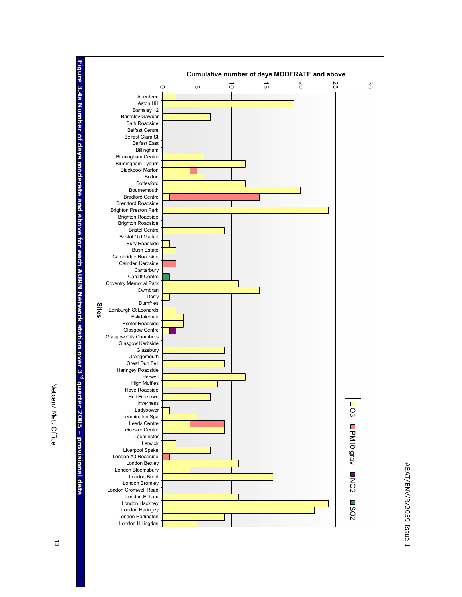

Netcen/ Met. Office Netcen/ Met. Office

> AEAT/ENV/R/2059 Issue 1 AEAT/ENV/R/2059 Issue

 $\mathbf{L}$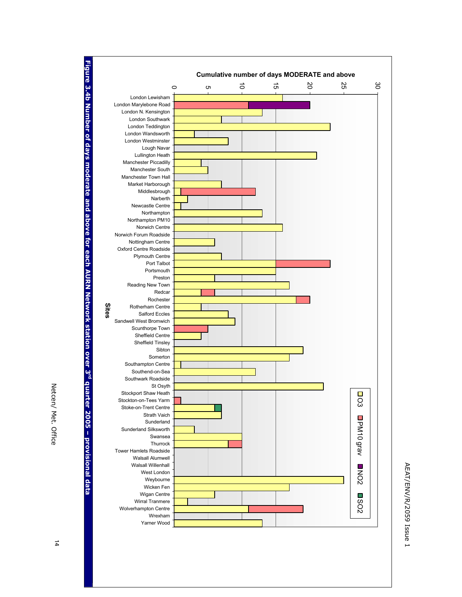

Netcen/ Met. Office Netcen/ Met. Office

> AEAT/ENV/R/2059 Issue 1 AEAT/ENV/R/2059 Issue

 $\mathbf{L}$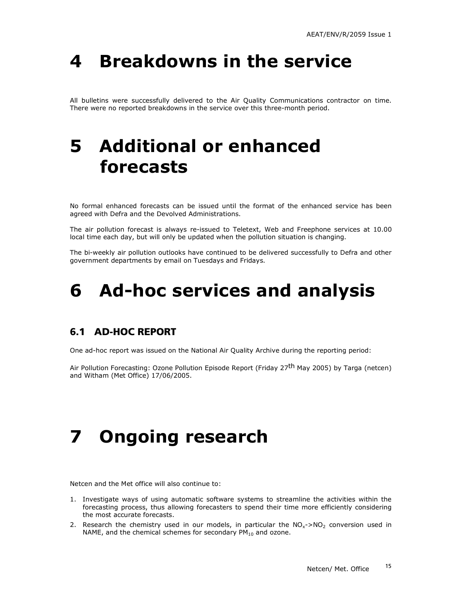# 4 Breakdowns in the service

All bulletins were successfully delivered to the Air Quality Communications contractor on time. There were no reported breakdowns in the service over this three-month period.

## 5 Additional or enhanced forecasts

No formal enhanced forecasts can be issued until the format of the enhanced service has been agreed with Defra and the Devolved Administrations.

The air pollution forecast is always re-issued to Teletext, Web and Freephone services at 10.00 local time each day, but will only be updated when the pollution situation is changing.

The bi-weekly air pollution outlooks have continued to be delivered successfully to Defra and other government departments by email on Tuesdays and Fridays.

## 6 Ad-hoc services and analysis

### 6.1 AD-HOC REPORT

One ad-hoc report was issued on the National Air Quality Archive during the reporting period:

Air Pollution Forecasting: Ozone Pollution Episode Report (Friday 27<sup>th</sup> May 2005) by Targa (netcen) and Witham (Met Office) 17/06/2005.

# 7 Ongoing research

Netcen and the Met office will also continue to:

- 1. Investigate ways of using automatic software systems to streamline the activities within the forecasting process, thus allowing forecasters to spend their time more efficiently considering the most accurate forecasts.
- 2. Research the chemistry used in our models, in particular the  $NO<sub>x</sub>$ ->NO<sub>2</sub> conversion used in NAME, and the chemical schemes for secondary  $PM_{10}$  and ozone.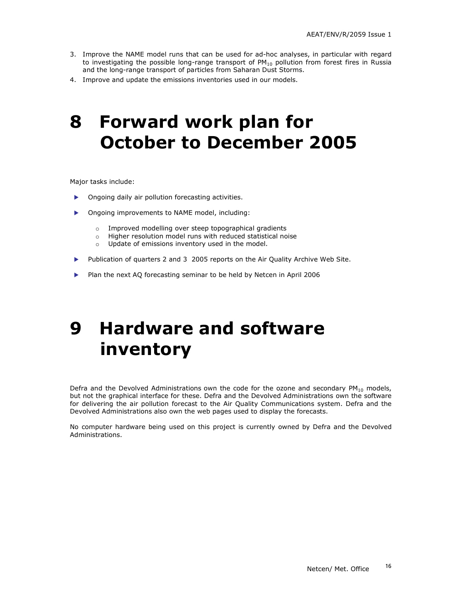- 3. Improve the NAME model runs that can be used for ad-hoc analyses, in particular with regard to investigating the possible long-range transport of  $PM_{10}$  pollution from forest fires in Russia and the long-range transport of particles from Saharan Dust Storms.
- 4. Improve and update the emissions inventories used in our models.

## 8 Forward work plan for October to December 2005

Major tasks include:

- **Demoglementally air pollution forecasting activities.**
- ▶ Ongoing improvements to NAME model, including:
	- o Improved modelling over steep topographical gradients
	- o Higher resolution model runs with reduced statistical noise
	- o Update of emissions inventory used in the model.
- Publication of quarters 2 and 3 2005 reports on the Air Quality Archive Web Site.
- Plan the next AQ forecasting seminar to be held by Netcen in April 2006

## 9 Hardware and software inventory

Defra and the Devolved Administrations own the code for the ozone and secondary  $PM_{10}$  models, but not the graphical interface for these. Defra and the Devolved Administrations own the software for delivering the air pollution forecast to the Air Quality Communications system. Defra and the Devolved Administrations also own the web pages used to display the forecasts.

No computer hardware being used on this project is currently owned by Defra and the Devolved Administrations.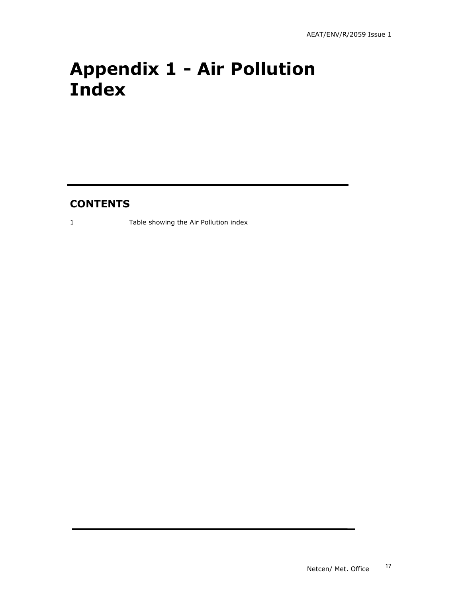# Appendix 1 - Air Pollution Index

### **CONTENTS**

1 Table showing the Air Pollution index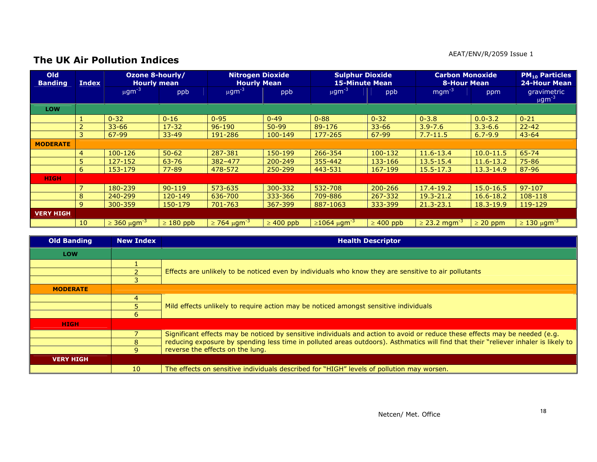### AEAT/ENV/R/2059 Issue 1

### The UK Air Pollution Indices

| <b>Old</b><br><b>Banding</b> | <b>Index</b> | Ozone 8-hourly/<br><b>Hourly mean</b> |                | <b>Nitrogen Dioxide</b><br><b>Hourly Mean</b> |                | <b>Sulphur Dioxide</b><br><b>15-Minute Mean</b> |                | <b>Carbon Monoxide</b><br><b>8-Hour Mean</b> |               | <b>PM<sub>10</sub> Particles</b><br><b>24-Hour Mean</b> |
|------------------------------|--------------|---------------------------------------|----------------|-----------------------------------------------|----------------|-------------------------------------------------|----------------|----------------------------------------------|---------------|---------------------------------------------------------|
|                              |              | $\mu$ gm <sup>-3</sup>                | ppb            | $\mu$ gm <sup>-3</sup>                        | ppb            | $\mu$ gm <sup>-3</sup>                          | ppb            | $mgm^{-3}$                                   | ppm           | gravimetric<br>$\mu$ gm <sup>-3</sup>                   |
| LOW                          |              |                                       |                |                                               |                |                                                 |                |                                              |               |                                                         |
|                              |              | $0 - 32$                              | $0 - 16$       | $0 - 95$                                      | $0 - 49$       | $0 - 88$                                        | $0 - 32$       | $0 - 3.8$                                    | $0.0 - 3.2$   | $0 - 21$                                                |
|                              | 2            | $33 - 66$                             | $17 - 32$      | $96 - 190$                                    | $50 - 99$      | 89-176                                          | $33 - 66$      | $3.9 - 7.6$                                  | $3.3 - 6.6$   | $22 - 42$                                               |
|                              | 3            | 67-99                                 | $33 - 49$      | 191-286                                       | 100-149        | 177-265                                         | 67-99          | $7.7 - 11.5$                                 | $6.7 - 9.9$   | $43 - 64$                                               |
| <b>MODERATE</b>              |              |                                       |                |                                               |                |                                                 |                |                                              |               |                                                         |
|                              | 4            | 100-126                               | $50 - 62$      | 287-381                                       | 150-199        | 266-354                                         | 100-132        | 11.6-13.4                                    | $10.0 - 11.5$ | 65-74                                                   |
|                              | 5            | 127-152                               | $63 - 76$      | $382 - 477$                                   | 200-249        | 355-442                                         | 133-166        | 13.5-15.4                                    | $11.6 - 13.2$ | 75-86                                                   |
|                              | 6            | 153-179                               | 77-89          | 478-572                                       | 250-299        | 443-531                                         | 167-199        | $15.5 - 17.3$                                | 13.3-14.9     | 87-96                                                   |
| <b>HIGH</b>                  |              |                                       |                |                                               |                |                                                 |                |                                              |               |                                                         |
|                              |              | 180-239                               | $90 - 119$     | 573-635                                       | 300-332        | 532-708                                         | 200-266        | $17.4 - 19.2$                                | $15.0 - 16.5$ | $97 - 107$                                              |
|                              | 8            | 240-299                               | 120-149        | 636-700                                       | 333-366        | 709-886                                         | 267-332        | $19.3 - 21.2$                                | $16.6 - 18.2$ | 108-118                                                 |
|                              | 9            | 300-359                               | 150-179        | 701-763                                       | 367-399        | 887-1063                                        | 333-399        | $21.3 - 23.1$                                | $18.3 - 19.9$ | 119-129                                                 |
| <b>VERY HIGH</b>             |              |                                       |                |                                               |                |                                                 |                |                                              |               |                                                         |
|                              | 10           | $\geq$ 360 $\mu$ gm <sup>-3</sup>     | $\geq 180$ ppb | $\geq$ 764 µgm <sup>-3</sup>                  | $\geq 400$ ppb | $≥1064 \mu g m^{-3}$                            | $\geq 400$ ppb | $\geq$ 23.2 mgm <sup>-3</sup>                | $\geq$ 20 ppm | $\geq$ 130 μgm <sup>-3</sup>                            |

| <b>Old Banding</b> | <b>New Index</b> | <b>Health Descriptor</b>                                                                                                            |  |  |  |  |  |  |
|--------------------|------------------|-------------------------------------------------------------------------------------------------------------------------------------|--|--|--|--|--|--|
| <b>LOW</b>         |                  |                                                                                                                                     |  |  |  |  |  |  |
|                    |                  |                                                                                                                                     |  |  |  |  |  |  |
|                    |                  | Effects are unlikely to be noticed even by individuals who know they are sensitive to air pollutants                                |  |  |  |  |  |  |
|                    |                  |                                                                                                                                     |  |  |  |  |  |  |
| <b>MODERATE</b>    |                  |                                                                                                                                     |  |  |  |  |  |  |
|                    |                  |                                                                                                                                     |  |  |  |  |  |  |
|                    |                  | Mild effects unlikely to require action may be noticed amongst sensitive individuals                                                |  |  |  |  |  |  |
|                    | 6                |                                                                                                                                     |  |  |  |  |  |  |
| <b>HIGH</b>        |                  |                                                                                                                                     |  |  |  |  |  |  |
|                    |                  | Significant effects may be noticed by sensitive individuals and action to avoid or reduce these effects may be needed (e.g.         |  |  |  |  |  |  |
|                    |                  | reducing exposure by spending less time in polluted areas outdoors). Asthmatics will find that their "reliever inhaler is likely to |  |  |  |  |  |  |
|                    | q                | reverse the effects on the lung.                                                                                                    |  |  |  |  |  |  |
| <b>VERY HIGH</b>   |                  |                                                                                                                                     |  |  |  |  |  |  |
|                    | 10               | The effects on sensitive individuals described for "HIGH" levels of pollution may worsen.                                           |  |  |  |  |  |  |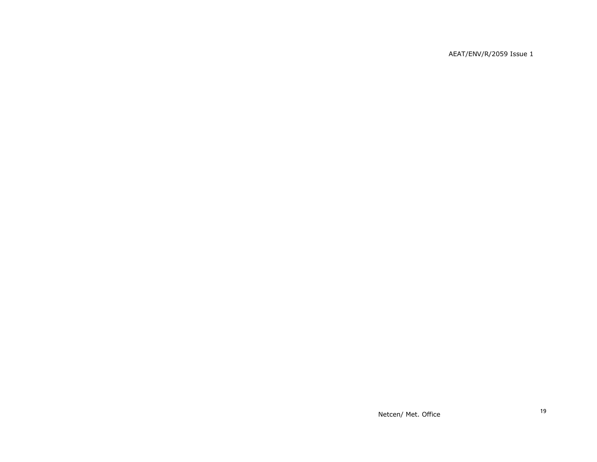AEAT/ENV/R/2059 Issue 1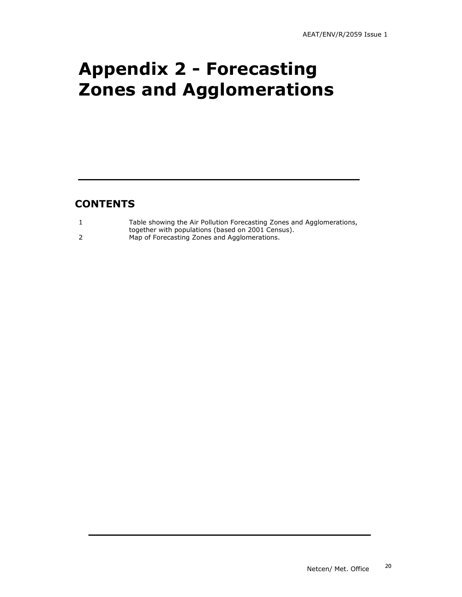# Appendix 2 - Forecasting Zones and Agglomerations

### **CONTENTS**

| Table showing the Air Pollution Forecasting Zones and Agglomerations, |
|-----------------------------------------------------------------------|
| together with populations (based on 2001 Census).                     |
| Map of Forecasting Zones and Agglomerations.                          |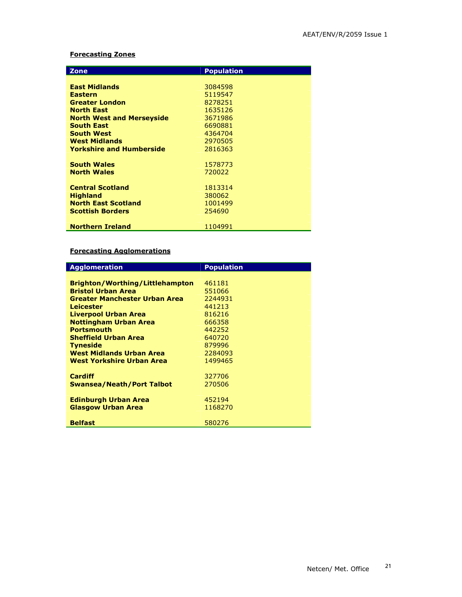### Forecasting Zones

| <b>Zone</b>                      | <b>Population</b> |
|----------------------------------|-------------------|
|                                  |                   |
| <b>East Midlands</b>             | 3084598           |
| <b>Eastern</b>                   | 5119547           |
| <b>Greater London</b>            | 8278251           |
| <b>North East</b>                | 1635126           |
| <b>North West and Merseyside</b> | 3671986           |
| <b>South East</b>                | 6690881           |
| <b>South West</b>                | 4364704           |
| <b>West Midlands</b>             | 2970505           |
| <b>Yorkshire and Humberside</b>  | 2816363           |
|                                  |                   |
| <b>South Wales</b>               | 1578773           |
| <b>North Wales</b>               | 720022            |
|                                  |                   |
| <b>Central Scotland</b>          | 1813314           |
| <b>Highland</b>                  | 380062            |
| <b>North East Scotland</b>       | 1001499           |
| <b>Scottish Borders</b>          | 254690            |
|                                  |                   |
| <b>Northern Ireland</b>          | 1104991           |

#### Forecasting Agglomerations

| <b>Agglomeration</b>                   | <b>Population</b> |
|----------------------------------------|-------------------|
|                                        |                   |
| <b>Brighton/Worthing/Littlehampton</b> | 461181            |
| <b>Bristol Urban Area</b>              | 551066            |
| <b>Greater Manchester Urban Area</b>   | 2244931           |
| <b>Leicester</b>                       | 441213            |
| Liverpool Urban Area                   | 816216            |
| <b>Nottingham Urban Area</b>           | 666358            |
| <b>Portsmouth</b>                      | 442252            |
| <b>Sheffield Urban Area</b>            | 640720            |
| <b>Tyneside</b>                        | 879996            |
| West Midlands Urban Area               | 2284093           |
| West Yorkshire Urban Area              | 1499465           |
|                                        |                   |
| <b>Cardiff</b>                         | 327706            |
| Swansea/Neath/Port Talbot              | 270506            |
|                                        |                   |
| <b>Edinburgh Urban Area</b>            | 452194            |
| <b>Glasgow Urban Area</b>              | 1168270           |
|                                        |                   |
| <b>Belfast</b>                         | 580276            |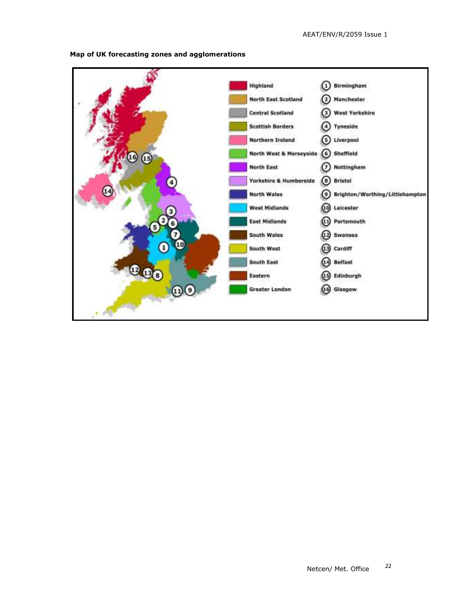

Map of UK forecasting zones and agglomerations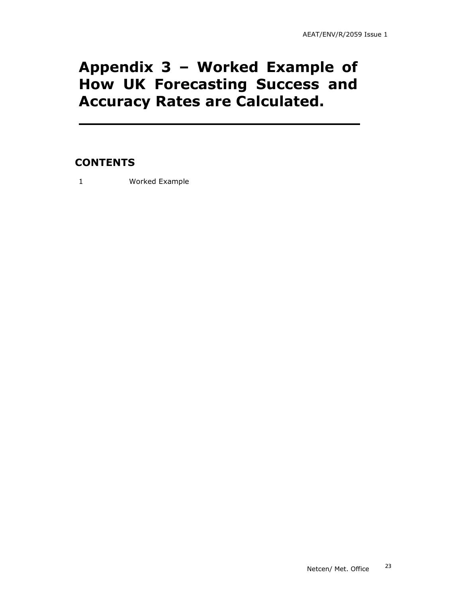### Appendix 3 – Worked Example of How UK Forecasting Success and Accuracy Rates are Calculated.

### **CONTENTS**

1 Worked Example